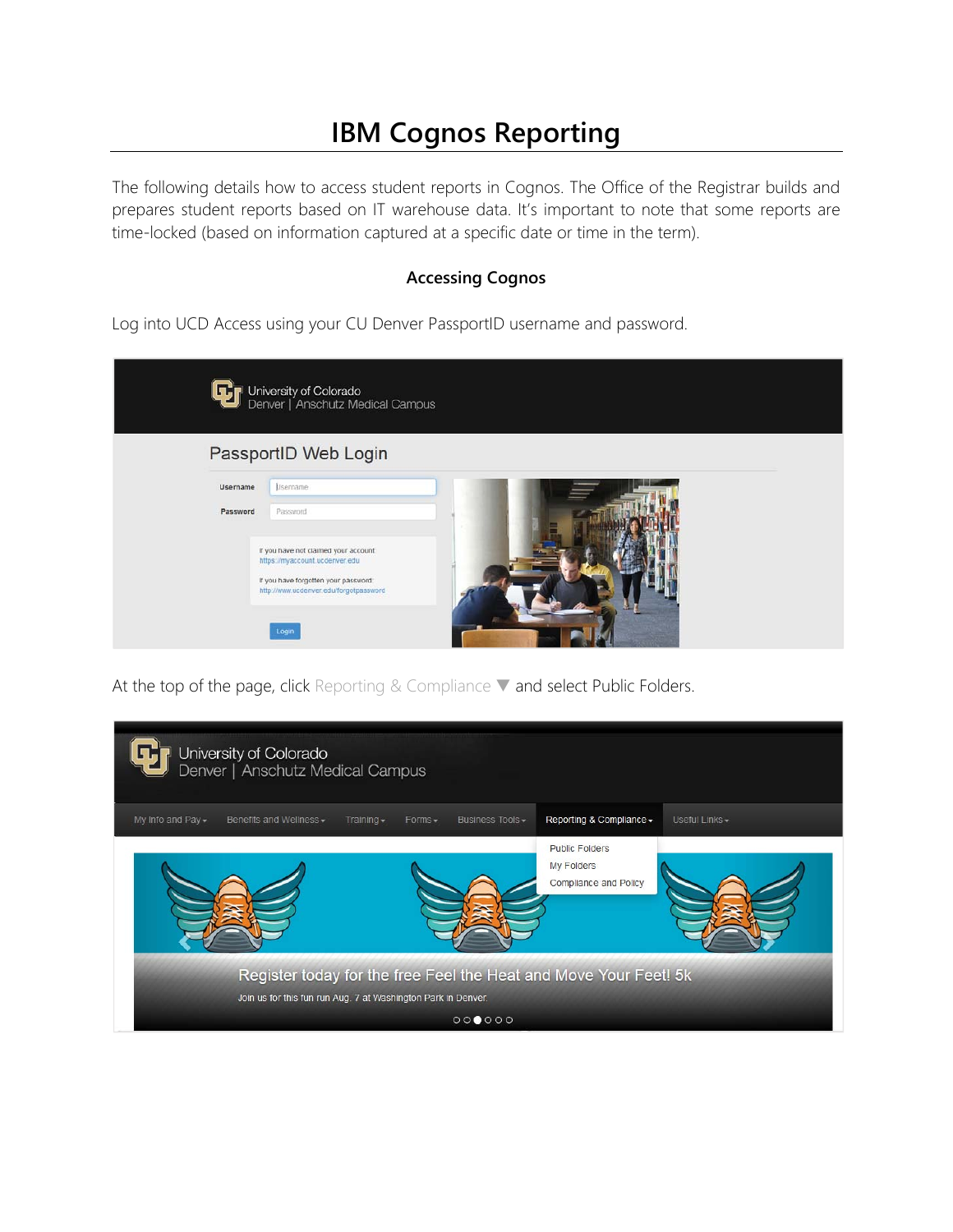## **IBM Cognos Reporting**

The following details how to access student reports in Cognos. The Office of the Registrar builds and prepares student reports based on IT warehouse data. It's important to note that some reports are time-locked (based on information captured at a specific date or time in the term).

## **Accessing Cognos**

Log into UCD Access using your CU Denver PassportID username and password.

| University of Colorado<br>Denver   Anschutz Medical Campus                     |
|--------------------------------------------------------------------------------|
| PassportID Web Login                                                           |
| Username<br>Lisername                                                          |
| Password<br>Password                                                           |
| If you have not claimed your account:<br>https://myaccount.ucdenver.edu        |
| If you have forgotten your password:<br>http://www.ucdenver.edu/forgotpassword |
|                                                                                |
| Login                                                                          |

At the top of the page, click Reporting & Compliance ▼ and select Public Folders.

| University of Colorado<br>Denver   Anschutz Medical Campus                                                                        |                               |                                                              |                |  |
|-----------------------------------------------------------------------------------------------------------------------------------|-------------------------------|--------------------------------------------------------------|----------------|--|
| My Info and Pay -<br>Benefits and Wellness -<br>Training $\sim$                                                                   | Business Tools -<br>$Forms -$ | Reporting & Compliance -                                     | Useful Links - |  |
|                                                                                                                                   |                               | <b>Public Folders</b><br>My Folders<br>Compliance and Policy |                |  |
| Register today for the free Feel the Heat and Move Your Feet! 5k<br>Join us for this fun run Aug. 7 at Washington Park in Denver. |                               |                                                              |                |  |
|                                                                                                                                   | 000000                        |                                                              |                |  |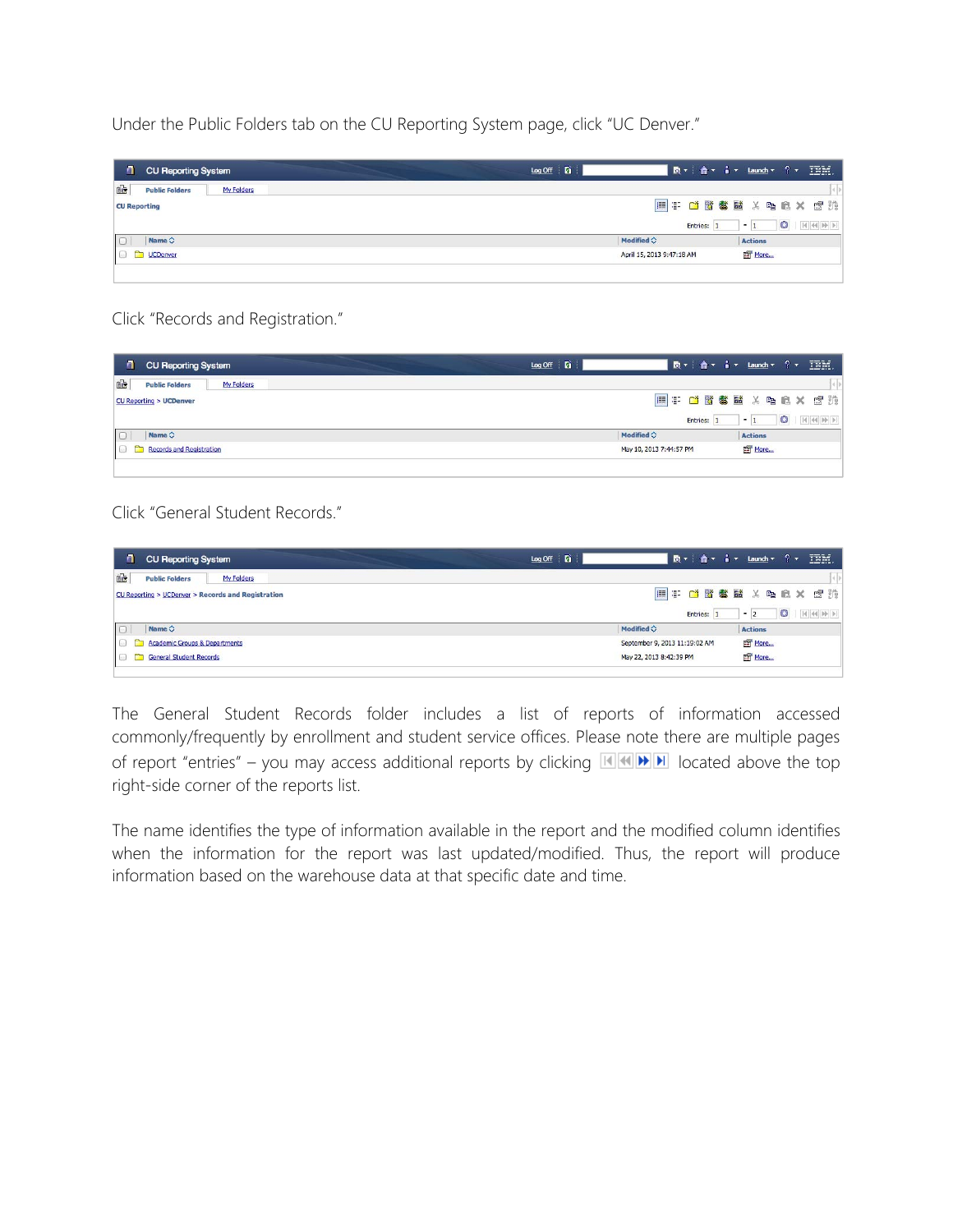Under the Public Folders tab on the CU Reporting System page, click "UC Denver."

| $\blacksquare$      | <b>CU Reporting System</b>          | $Log$ Off $\boxed{6}$     | B v   合 v i v Launch v ? v IBM. |                |         |  |
|---------------------|-------------------------------------|---------------------------|---------------------------------|----------------|---------|--|
| 恼                   | <b>Public Folders</b><br>My Folders |                           |                                 |                |         |  |
| <b>CU Reporting</b> |                                     |                           | ET CBSEXDEX CH                  |                |         |  |
|                     |                                     |                           | Entries: 1                      | $-1$           | $\circ$ |  |
|                     | Name $\diamond$                     | Modified $\diamondsuit$   |                                 | <b>Actions</b> |         |  |
|                     | <b>D</b> UCDenver                   | April 15, 2013 9:47:18 AM |                                 | More           |         |  |
|                     |                                     |                           |                                 |                |         |  |

Click "Records and Registration."

| $\blacksquare$<br><b>CU Reporting System</b> | $\underline{\text{Log Off}}$ $\underline{\text{Pr}}$ | ┃ 國▼ │ 合▼ │ ▼ │ Launch▼ ? ▼ │ Ⅲ │ │ |      |                |         |                |
|----------------------------------------------|------------------------------------------------------|-------------------------------------|------|----------------|---------|----------------|
| 凾<br><b>Public Folders</b><br>My Folders     |                                                      |                                     |      |                |         |                |
| <b>CU Reporting &gt; UCDenver</b>            |                                                      |                                     |      |                |         | ET CBSEXDEX CH |
|                                              |                                                      | Entries:                            | $-1$ |                | $\circ$ |                |
| Name $\diamond$                              | Modified $\diamondsuit$                              |                                     |      | <b>Actions</b> |         |                |
| <b>Records and Registration</b>              | May 10, 2013 7:44:57 PM                              |                                     |      | More           |         |                |
|                                              |                                                      |                                     |      |                |         |                |

Click "General Student Records."

| <b>CU Reporting System</b>                         | ■ ■ ▼   合▼   i ▼ Launch ▼ ? ▼   頂所。<br>$Log$ Off $\Box$ |
|----------------------------------------------------|---------------------------------------------------------|
| 雪<br>My Folders<br><b>Public Folders</b>           |                                                         |
| CU Reporting > UCDenver > Records and Registration | 用于甘露霉菌 X 电启义 虚热                                         |
|                                                    | $\circ$<br>Entries:<br>$-2$                             |
| $\Box$<br>Name $\Diamond$                          | Modified $\diamondsuit$<br><b>Actions</b>               |
| <b>Academic Groups &amp; Departments</b>           | More<br>September 9, 2013 11:19:02 AM                   |
| <b>General Student Records</b>                     | More<br>May 22, 2013 8:42:39 PM                         |

The General Student Records folder includes a list of reports of information accessed commonly/frequently by enrollment and student service offices. Please note there are multiple pages of report "entries" – you may access additional reports by clicking  $\mathbb{H} \times \mathbb{H}$  located above the top right-side corner of the reports list.

The name identifies the type of information available in the report and the modified column identifies when the information for the report was last updated/modified. Thus, the report will produce information based on the warehouse data at that specific date and time.